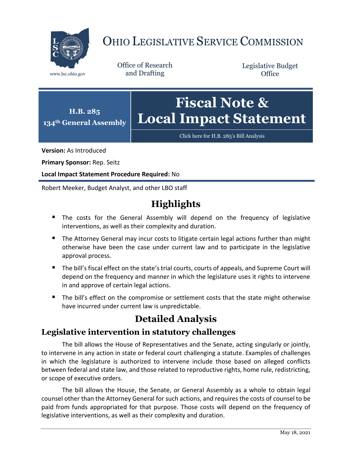

# OHIO LEGISLATIVE SERVICE COMMISSION

Office of Research www.lsc.ohio.gov and Drafting

Legislative Budget **Office** 



Click here for [H.B. 285's Bill Analysis](https://www.legislature.ohio.gov/legislation/legislation-documents?id=GA134-HB-285)

**Version:** As Introduced

**Primary Sponsor:** Rep. Seitz

**Local Impact Statement Procedure Required:** No

Robert Meeker, Budget Analyst, and other LBO staff

# **Highlights**

- The costs for the General Assembly will depend on the frequency of legislative interventions, as well as their complexity and duration.
- The Attorney General may incur costs to litigate certain legal actions further than might otherwise have been the case under current law and to participate in the legislative approval process.
- The bill's fiscal effect on the state's trial courts, courts of appeals, and Supreme Court will depend on the frequency and manner in which the legislature uses it rights to intervene in and approve of certain legal actions.
- The bill's effect on the compromise or settlement costs that the state might otherwise have incurred under current law is unpredictable.

# **Detailed Analysis**

### **Legislative intervention in statutory challenges**

The bill allows the House of Representatives and the Senate, acting singularly or jointly, to intervene in any action in state or federal court challenging a statute. Examples of challenges in which the legislature is authorized to intervene include those based on alleged conflicts between federal and state law, and those related to reproductive rights, home rule, redistricting, or scope of executive orders.

The bill allows the House, the Senate, or General Assembly as a whole to obtain legal counsel other than the Attorney General for such actions, and requires the costs of counsel to be paid from funds appropriated for that purpose. Those costs will depend on the frequency of legislative interventions, as well as their complexity and duration.